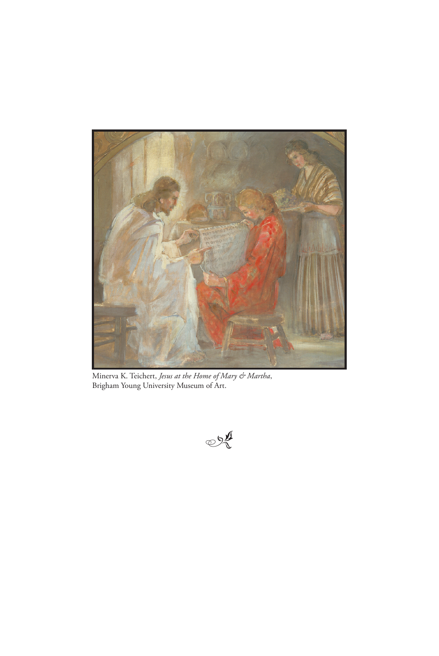

Minerva K. Teichert, *Jesus at the Home of Mary & Martha*, Brigham Young University Museum of Art.

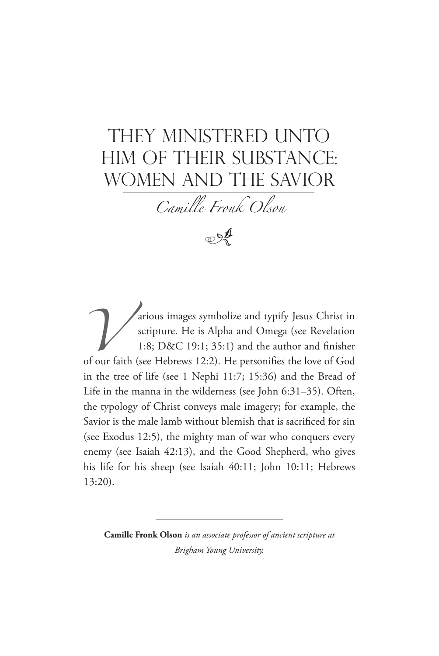# They Ministered Unto Him of Their Substance: Women and the Savior

*Camille Fronk Olson*



arious images symbolize and typify Jesus Christ in scripture. He is Alpha and Omega (see Revelation 1:8; D&C 19:1; 35:1) and the author and finisher of our faith (see Hebrews 12:2). He personifies the love of God scripture. He is Alpha and Omega (see Revelation 1:8; D&C 19:1; 35:1) and the author and finisher of our faith (see Hebrews 12:2). He personifies the love of God in the tree of life (see 1 Nephi 11:7; 15:36) and the Bread of Life in the manna in the wilderness (see John 6:31–35). Often, the typology of Christ conveys male imagery; for example, the Savior is the male lamb without blemish that is sacrificed for sin (see Exodus 12:5), the mighty man of war who conquers every enemy (see Isaiah 42:13), and the Good Shepherd, who gives his life for his sheep (see Isaiah 40:11; John 10:11; Hebrews 13:20).

**Camille Fronk Olson** *is an associate professor of ancient scripture at Brigham Young University.*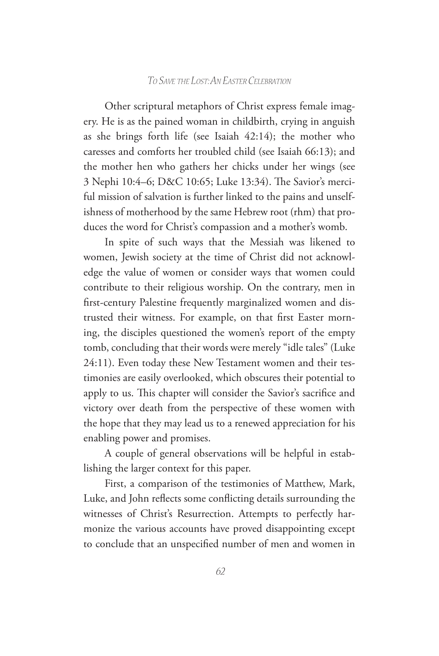Other scriptural metaphors of Christ express female imagery. He is as the pained woman in childbirth, crying in anguish as she brings forth life (see Isaiah 42:14); the mother who caresses and comforts her troubled child (see Isaiah 66:13); and the mother hen who gathers her chicks under her wings (see 3 Nephi 10:4–6; D&C 10:65; Luke 13:34). The Savior's merciful mission of salvation is further linked to the pains and unselfishness of motherhood by the same Hebrew root (rhm) that produces the word for Christ's compassion and a mother's womb.

In spite of such ways that the Messiah was likened to women, Jewish society at the time of Christ did not acknowledge the value of women or consider ways that women could contribute to their religious worship. On the contrary, men in first-century Palestine frequently marginalized women and distrusted their witness. For example, on that first Easter morning, the disciples questioned the women's report of the empty tomb, concluding that their words were merely "idle tales" (Luke 24:11). Even today these New Testament women and their testimonies are easily overlooked, which obscures their potential to apply to us. This chapter will consider the Savior's sacrifice and victory over death from the perspective of these women with the hope that they may lead us to a renewed appreciation for his enabling power and promises.

A couple of general observations will be helpful in establishing the larger context for this paper.

First, a comparison of the testimonies of Matthew, Mark, Luke, and John reflects some conflicting details surrounding the witnesses of Christ's Resurrection. Attempts to perfectly harmonize the various accounts have proved disappointing except to conclude that an unspecified number of men and women in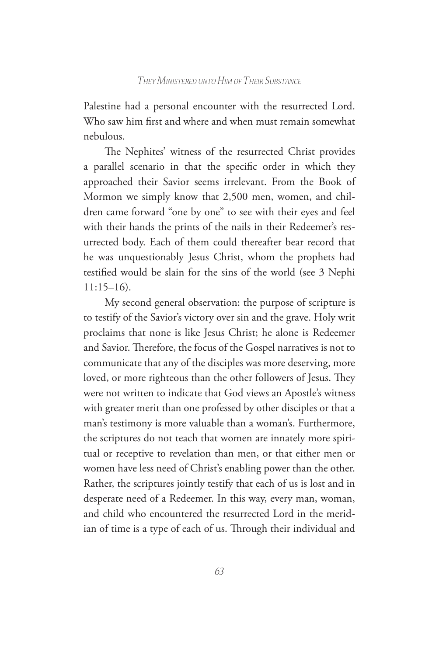Palestine had a personal encounter with the resurrected Lord. Who saw him first and where and when must remain somewhat nebulous.

The Nephites' witness of the resurrected Christ provides a parallel scenario in that the specific order in which they approached their Savior seems irrelevant. From the Book of Mormon we simply know that 2,500 men, women, and children came forward "one by one" to see with their eyes and feel with their hands the prints of the nails in their Redeemer's resurrected body. Each of them could thereafter bear record that he was unquestionably Jesus Christ, whom the prophets had testified would be slain for the sins of the world (see 3 Nephi 11:15–16).

My second general observation: the purpose of scripture is to testify of the Savior's victory over sin and the grave. Holy writ proclaims that none is like Jesus Christ; he alone is Redeemer and Savior. Therefore, the focus of the Gospel narratives is not to communicate that any of the disciples was more deserving, more loved, or more righteous than the other followers of Jesus. They were not written to indicate that God views an Apostle's witness with greater merit than one professed by other disciples or that a man's testimony is more valuable than a woman's. Furthermore, the scriptures do not teach that women are innately more spiritual or receptive to revelation than men, or that either men or women have less need of Christ's enabling power than the other. Rather, the scriptures jointly testify that each of us is lost and in desperate need of a Redeemer. In this way, every man, woman, and child who encountered the resurrected Lord in the meridian of time is a type of each of us. Through their individual and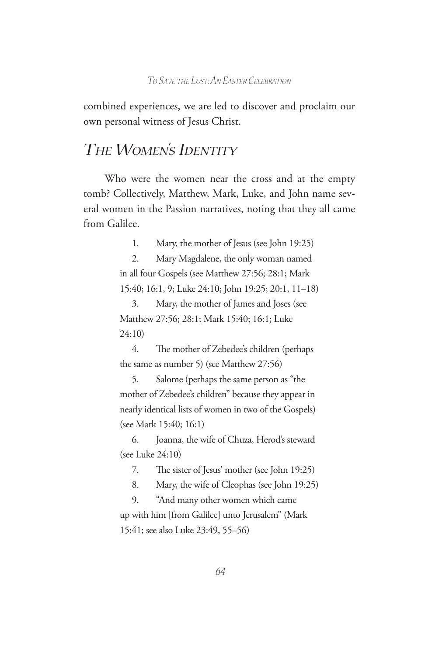combined experiences, we are led to discover and proclaim our own personal witness of Jesus Christ.

# *The Women's Identity*

Who were the women near the cross and at the empty tomb? Collectively, Matthew, Mark, Luke, and John name several women in the Passion narratives, noting that they all came from Galilee.

1. Mary, the mother of Jesus (see John 19:25)

2. Mary Magdalene, the only woman named in all four Gospels (see Matthew 27:56; 28:1; Mark 15:40; 16:1, 9; Luke 24:10; John 19:25; 20:1, 11–18)

3. Mary, the mother of James and Joses (see Matthew 27:56; 28:1; Mark 15:40; 16:1; Luke 24:10)

4. The mother of Zebedee's children (perhaps the same as number 5) (see Matthew 27:56)

5. Salome (perhaps the same person as "the mother of Zebedee's children" because they appear in nearly identical lists of women in two of the Gospels) (see Mark 15:40; 16:1)

6. Joanna, the wife of Chuza, Herod's steward (see Luke 24:10)

7. The sister of Jesus' mother (see John 19:25)

8. Mary, the wife of Cleophas (see John 19:25)

9. "And many other women which came up with him [from Galilee] unto Jerusalem" (Mark 15:41; see also Luke 23:49, 55–56)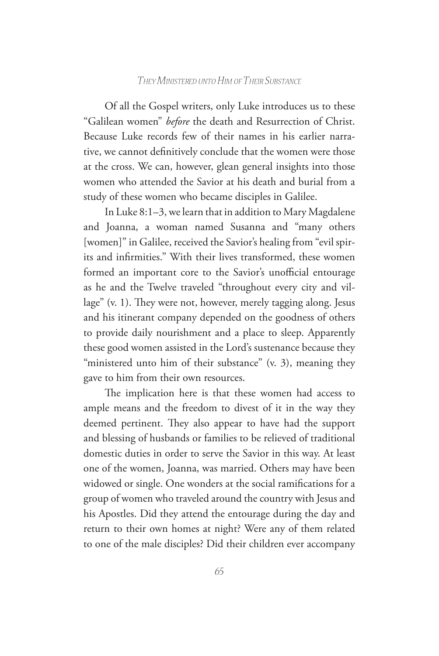Of all the Gospel writers, only Luke introduces us to these "Galilean women" *before* the death and Resurrection of Christ. Because Luke records few of their names in his earlier narrative, we cannot definitively conclude that the women were those at the cross. We can, however, glean general insights into those women who attended the Savior at his death and burial from a study of these women who became disciples in Galilee.

In Luke 8:1–3, we learn that in addition to Mary Magdalene and Joanna, a woman named Susanna and "many others [women]" in Galilee, received the Savior's healing from "evil spirits and infirmities." With their lives transformed, these women formed an important core to the Savior's unofficial entourage as he and the Twelve traveled "throughout every city and village" (v. 1). They were not, however, merely tagging along. Jesus and his itinerant company depended on the goodness of others to provide daily nourishment and a place to sleep. Apparently these good women assisted in the Lord's sustenance because they "ministered unto him of their substance" (v. 3), meaning they gave to him from their own resources.

The implication here is that these women had access to ample means and the freedom to divest of it in the way they deemed pertinent. They also appear to have had the support and blessing of husbands or families to be relieved of traditional domestic duties in order to serve the Savior in this way. At least one of the women, Joanna, was married. Others may have been widowed or single. One wonders at the social ramifications for a group of women who traveled around the country with Jesus and his Apostles. Did they attend the entourage during the day and return to their own homes at night? Were any of them related to one of the male disciples? Did their children ever accompany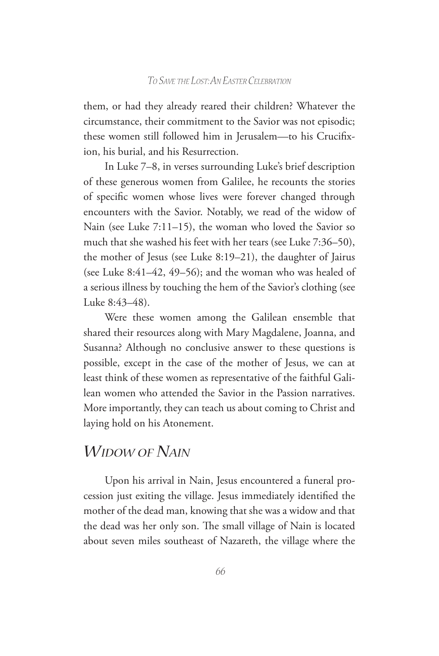them, or had they already reared their children? Whatever the circumstance, their commitment to the Savior was not episodic; these women still followed him in Jerusalem—to his Crucifixion, his burial, and his Resurrection.

In Luke 7–8, in verses surrounding Luke's brief description of these generous women from Galilee, he recounts the stories of specific women whose lives were forever changed through encounters with the Savior. Notably, we read of the widow of Nain (see Luke 7:11–15), the woman who loved the Savior so much that she washed his feet with her tears (see Luke 7:36–50), the mother of Jesus (see Luke 8:19–21), the daughter of Jairus (see Luke 8:41–42, 49–56); and the woman who was healed of a serious illness by touching the hem of the Savior's clothing (see Luke 8:43–48).

Were these women among the Galilean ensemble that shared their resources along with Mary Magdalene, Joanna, and Susanna? Although no conclusive answer to these questions is possible, except in the case of the mother of Jesus, we can at least think of these women as representative of the faithful Galilean women who attended the Savior in the Passion narratives. More importantly, they can teach us about coming to Christ and laying hold on his Atonement.

# *Widow of Nain*

Upon his arrival in Nain, Jesus encountered a funeral procession just exiting the village. Jesus immediately identified the mother of the dead man, knowing that she was a widow and that the dead was her only son. The small village of Nain is located about seven miles southeast of Nazareth, the village where the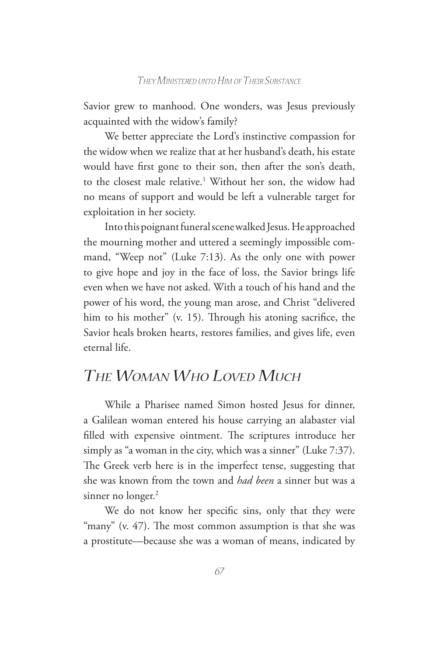Savior grew to manhood. One wonders, was Jesus previously acquainted with the widow's family?

We better appreciate the Lord's instinctive compassion for the widow when we realize that at her husband's death, his estate would have first gone to their son, then after the son's death, to the closest male relative.<sup>1</sup> Without her son, the widow had no means of support and would be left a vulnerable target for exploitation in her society.

Into this poignant funeral scene walked Jesus. He approached the mourning mother and uttered a seemingly impossible command, "Weep not" (Luke 7:13). As the only one with power to give hope and joy in the face of loss, the Savior brings life even when we have not asked. With a touch of his hand and the power of his word, the young man arose, and Christ "delivered him to his mother" (v. 15). Through his atoning sacrifice, the Savior heals broken hearts, restores families, and gives life, even eternal life.

# *The Woman Who Loved Much*

While a Pharisee named Simon hosted Jesus for dinner, a Galilean woman entered his house carrying an alabaster vial filled with expensive ointment. The scriptures introduce her simply as "a woman in the city, which was a sinner" (Luke 7:37). The Greek verb here is in the imperfect tense, suggesting that she was known from the town and *had been* a sinner but was a sinner no longer.<sup>2</sup>

We do not know her specific sins, only that they were "many" (v. 47). The most common assumption is that she was a prostitute—because she was a woman of means, indicated by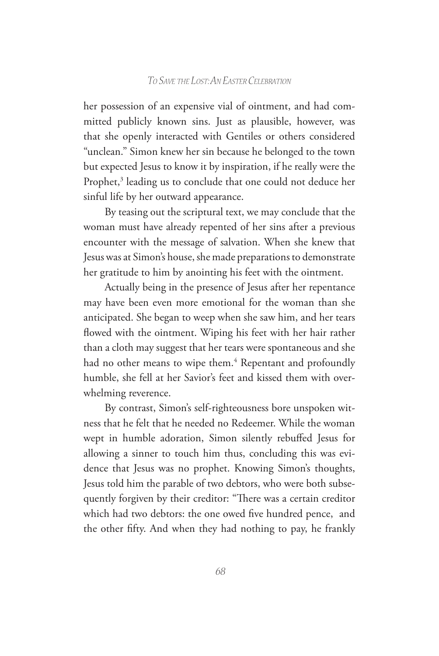her possession of an expensive vial of ointment, and had committed publicly known sins. Just as plausible, however, was that she openly interacted with Gentiles or others considered "unclean." Simon knew her sin because he belonged to the town but expected Jesus to know it by inspiration, if he really were the Prophet,<sup>3</sup> leading us to conclude that one could not deduce her sinful life by her outward appearance.

By teasing out the scriptural text, we may conclude that the woman must have already repented of her sins after a previous encounter with the message of salvation. When she knew that Jesus was at Simon's house, she made preparations to demonstrate her gratitude to him by anointing his feet with the ointment.

Actually being in the presence of Jesus after her repentance may have been even more emotional for the woman than she anticipated. She began to weep when she saw him, and her tears flowed with the ointment. Wiping his feet with her hair rather than a cloth may suggest that her tears were spontaneous and she had no other means to wipe them.<sup>4</sup> Repentant and profoundly humble, she fell at her Savior's feet and kissed them with overwhelming reverence.

By contrast, Simon's self-righteousness bore unspoken witness that he felt that he needed no Redeemer. While the woman wept in humble adoration, Simon silently rebuffed Jesus for allowing a sinner to touch him thus, concluding this was evidence that Jesus was no prophet. Knowing Simon's thoughts, Jesus told him the parable of two debtors, who were both subsequently forgiven by their creditor: "There was a certain creditor which had two debtors: the one owed five hundred pence, and the other fifty. And when they had nothing to pay, he frankly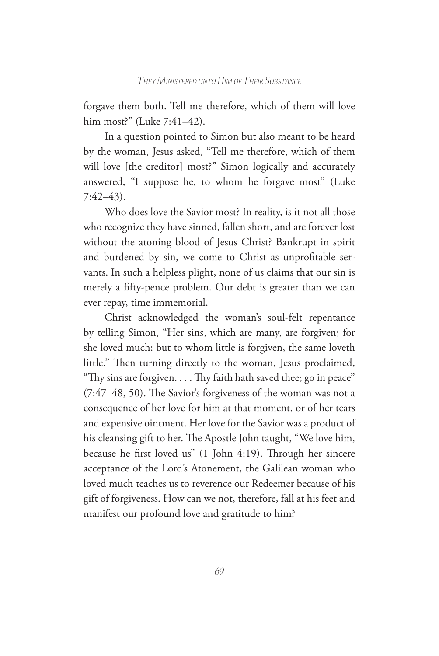forgave them both. Tell me therefore, which of them will love him most?" (Luke 7:41–42).

In a question pointed to Simon but also meant to be heard by the woman, Jesus asked, "Tell me therefore, which of them will love [the creditor] most?" Simon logically and accurately answered, "I suppose he, to whom he forgave most" (Luke 7:42–43).

Who does love the Savior most? In reality, is it not all those who recognize they have sinned, fallen short, and are forever lost without the atoning blood of Jesus Christ? Bankrupt in spirit and burdened by sin, we come to Christ as unprofitable servants. In such a helpless plight, none of us claims that our sin is merely a fifty-pence problem. Our debt is greater than we can ever repay, time immemorial.

Christ acknowledged the woman's soul-felt repentance by telling Simon, "Her sins, which are many, are forgiven; for she loved much: but to whom little is forgiven, the same loveth little." Then turning directly to the woman, Jesus proclaimed, "Thy sins are forgiven. . . . Thy faith hath saved thee; go in peace" (7:47–48, 50). The Savior's forgiveness of the woman was not a consequence of her love for him at that moment, or of her tears and expensive ointment. Her love for the Savior was a product of his cleansing gift to her. The Apostle John taught, "We love him, because he first loved us" (1 John 4:19). Through her sincere acceptance of the Lord's Atonement, the Galilean woman who loved much teaches us to reverence our Redeemer because of his gift of forgiveness. How can we not, therefore, fall at his feet and manifest our profound love and gratitude to him?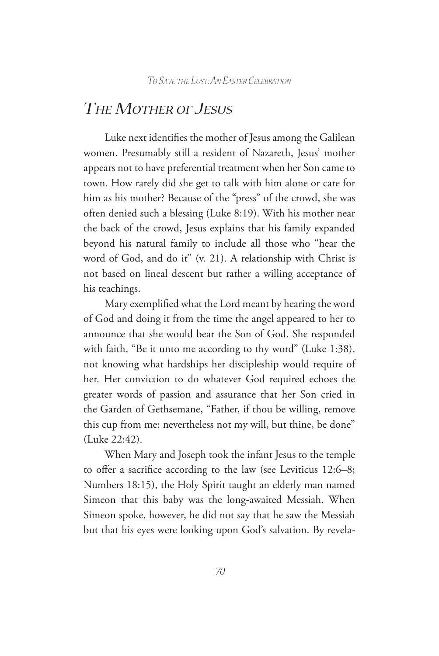### *The Mother of Jesus*

Luke next identifies the mother of Jesus among the Galilean women. Presumably still a resident of Nazareth, Jesus' mother appears not to have preferential treatment when her Son came to town. How rarely did she get to talk with him alone or care for him as his mother? Because of the "press" of the crowd, she was often denied such a blessing (Luke 8:19). With his mother near the back of the crowd, Jesus explains that his family expanded beyond his natural family to include all those who "hear the word of God, and do it" (v. 21). A relationship with Christ is not based on lineal descent but rather a willing acceptance of his teachings.

Mary exemplified what the Lord meant by hearing the word of God and doing it from the time the angel appeared to her to announce that she would bear the Son of God. She responded with faith, "Be it unto me according to thy word" (Luke 1:38), not knowing what hardships her discipleship would require of her. Her conviction to do whatever God required echoes the greater words of passion and assurance that her Son cried in the Garden of Gethsemane, "Father, if thou be willing, remove this cup from me: nevertheless not my will, but thine, be done" (Luke 22:42).

When Mary and Joseph took the infant Jesus to the temple to offer a sacrifice according to the law (see Leviticus 12:6–8; Numbers 18:15), the Holy Spirit taught an elderly man named Simeon that this baby was the long-awaited Messiah. When Simeon spoke, however, he did not say that he saw the Messiah but that his eyes were looking upon God's salvation. By revela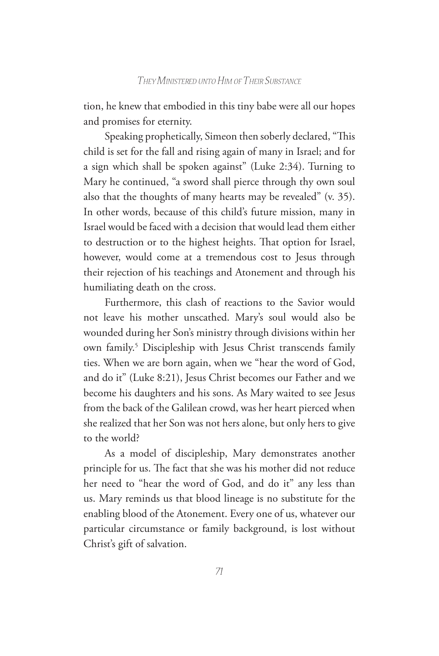tion, he knew that embodied in this tiny babe were all our hopes and promises for eternity.

Speaking prophetically, Simeon then soberly declared, "This child is set for the fall and rising again of many in Israel; and for a sign which shall be spoken against" (Luke 2:34). Turning to Mary he continued, "a sword shall pierce through thy own soul also that the thoughts of many hearts may be revealed" (v. 35). In other words, because of this child's future mission, many in Israel would be faced with a decision that would lead them either to destruction or to the highest heights. That option for Israel, however, would come at a tremendous cost to Jesus through their rejection of his teachings and Atonement and through his humiliating death on the cross.

Furthermore, this clash of reactions to the Savior would not leave his mother unscathed. Mary's soul would also be wounded during her Son's ministry through divisions within her own family.<sup>5</sup> Discipleship with Jesus Christ transcends family ties. When we are born again, when we "hear the word of God, and do it" (Luke 8:21), Jesus Christ becomes our Father and we become his daughters and his sons. As Mary waited to see Jesus from the back of the Galilean crowd, was her heart pierced when she realized that her Son was not hers alone, but only hers to give to the world?

As a model of discipleship, Mary demonstrates another principle for us. The fact that she was his mother did not reduce her need to "hear the word of God, and do it" any less than us. Mary reminds us that blood lineage is no substitute for the enabling blood of the Atonement. Every one of us, whatever our particular circumstance or family background, is lost without Christ's gift of salvation.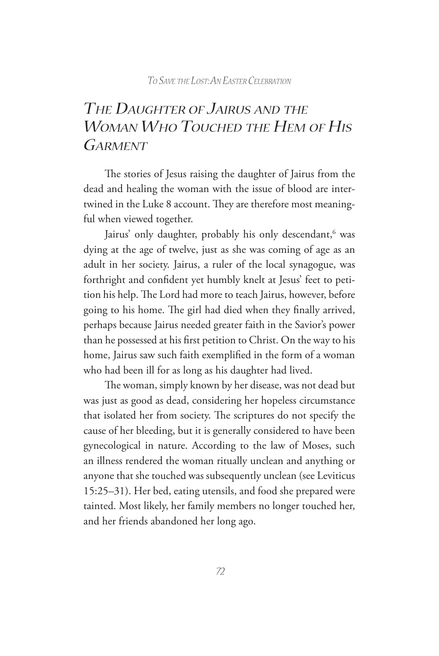# *The Daughter of Jairus and the Woman Who Touched the Hem of His Garment*

The stories of Jesus raising the daughter of Jairus from the dead and healing the woman with the issue of blood are intertwined in the Luke 8 account. They are therefore most meaningful when viewed together.

Jairus' only daughter, probably his only descendant,<sup>6</sup> was dying at the age of twelve, just as she was coming of age as an adult in her society. Jairus, a ruler of the local synagogue, was forthright and confident yet humbly knelt at Jesus' feet to petition his help. The Lord had more to teach Jairus, however, before going to his home. The girl had died when they finally arrived, perhaps because Jairus needed greater faith in the Savior's power than he possessed at his first petition to Christ. On the way to his home, Jairus saw such faith exemplified in the form of a woman who had been ill for as long as his daughter had lived.

The woman, simply known by her disease, was not dead but was just as good as dead, considering her hopeless circumstance that isolated her from society. The scriptures do not specify the cause of her bleeding, but it is generally considered to have been gynecological in nature. According to the law of Moses, such an illness rendered the woman ritually unclean and anything or anyone that she touched was subsequently unclean (see Leviticus 15:25–31). Her bed, eating utensils, and food she prepared were tainted. Most likely, her family members no longer touched her, and her friends abandoned her long ago.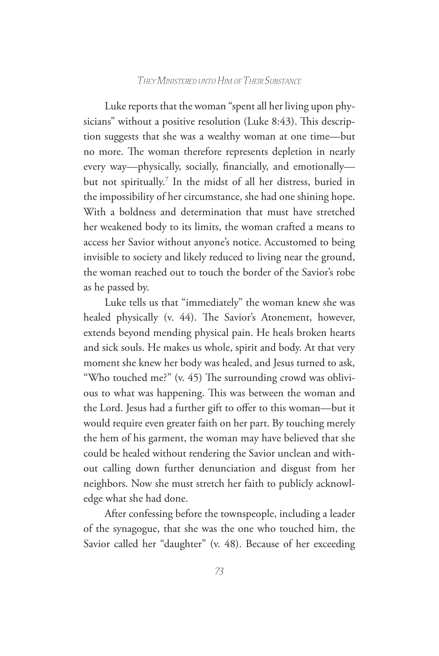Luke reports that the woman "spent all her living upon physicians" without a positive resolution (Luke 8:43). This description suggests that she was a wealthy woman at one time—but no more. The woman therefore represents depletion in nearly every way—physically, socially, financially, and emotionally but not spiritually.7 In the midst of all her distress, buried in the impossibility of her circumstance, she had one shining hope. With a boldness and determination that must have stretched her weakened body to its limits, the woman crafted a means to access her Savior without anyone's notice. Accustomed to being invisible to society and likely reduced to living near the ground, the woman reached out to touch the border of the Savior's robe as he passed by.

Luke tells us that "immediately" the woman knew she was healed physically (v. 44). The Savior's Atonement, however, extends beyond mending physical pain. He heals broken hearts and sick souls. He makes us whole, spirit and body. At that very moment she knew her body was healed, and Jesus turned to ask, "Who touched me?" (v. 45) The surrounding crowd was oblivious to what was happening. This was between the woman and the Lord. Jesus had a further gift to offer to this woman—but it would require even greater faith on her part. By touching merely the hem of his garment, the woman may have believed that she could be healed without rendering the Savior unclean and without calling down further denunciation and disgust from her neighbors. Now she must stretch her faith to publicly acknowledge what she had done.

After confessing before the townspeople, including a leader of the synagogue, that she was the one who touched him, the Savior called her "daughter" (v. 48). Because of her exceeding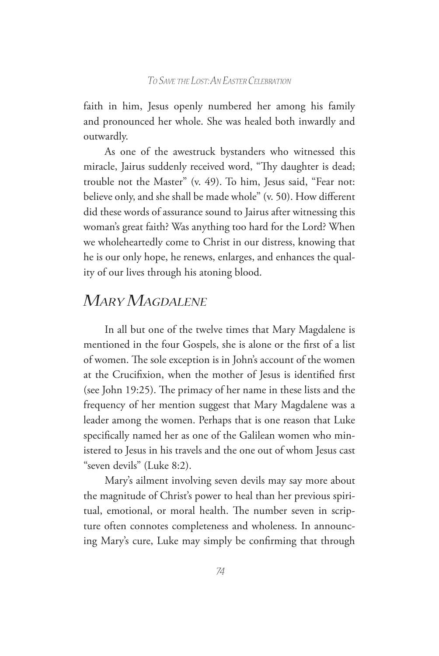faith in him, Jesus openly numbered her among his family and pronounced her whole. She was healed both inwardly and outwardly.

As one of the awestruck bystanders who witnessed this miracle, Jairus suddenly received word, "Thy daughter is dead; trouble not the Master" (v. 49). To him, Jesus said, "Fear not: believe only, and she shall be made whole" (v. 50). How different did these words of assurance sound to Jairus after witnessing this woman's great faith? Was anything too hard for the Lord? When we wholeheartedly come to Christ in our distress, knowing that he is our only hope, he renews, enlarges, and enhances the quality of our lives through his atoning blood.

# *Mary Magdalene*

In all but one of the twelve times that Mary Magdalene is mentioned in the four Gospels, she is alone or the first of a list of women. The sole exception is in John's account of the women at the Crucifixion, when the mother of Jesus is identified first (see John 19:25). The primacy of her name in these lists and the frequency of her mention suggest that Mary Magdalene was a leader among the women. Perhaps that is one reason that Luke specifically named her as one of the Galilean women who ministered to Jesus in his travels and the one out of whom Jesus cast "seven devils" (Luke 8:2).

Mary's ailment involving seven devils may say more about the magnitude of Christ's power to heal than her previous spiritual, emotional, or moral health. The number seven in scripture often connotes completeness and wholeness. In announcing Mary's cure, Luke may simply be confirming that through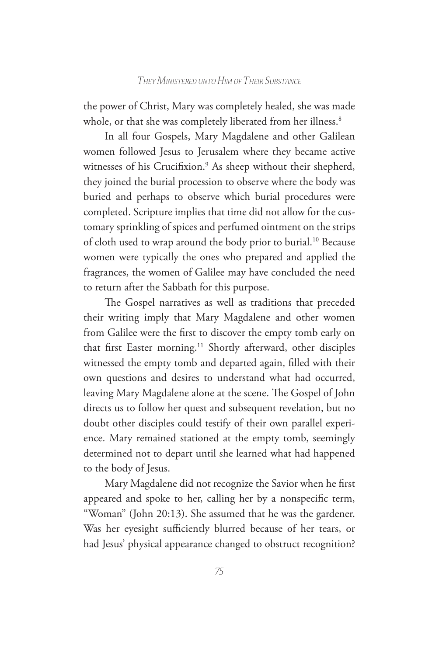the power of Christ, Mary was completely healed, she was made whole, or that she was completely liberated from her illness.<sup>8</sup>

In all four Gospels, Mary Magdalene and other Galilean women followed Jesus to Jerusalem where they became active witnesses of his Crucifixion.<sup>9</sup> As sheep without their shepherd, they joined the burial procession to observe where the body was buried and perhaps to observe which burial procedures were completed. Scripture implies that time did not allow for the customary sprinkling of spices and perfumed ointment on the strips of cloth used to wrap around the body prior to burial.10 Because women were typically the ones who prepared and applied the fragrances, the women of Galilee may have concluded the need to return after the Sabbath for this purpose.

The Gospel narratives as well as traditions that preceded their writing imply that Mary Magdalene and other women from Galilee were the first to discover the empty tomb early on that first Easter morning.<sup>11</sup> Shortly afterward, other disciples witnessed the empty tomb and departed again, filled with their own questions and desires to understand what had occurred, leaving Mary Magdalene alone at the scene. The Gospel of John directs us to follow her quest and subsequent revelation, but no doubt other disciples could testify of their own parallel experience. Mary remained stationed at the empty tomb, seemingly determined not to depart until she learned what had happened to the body of Jesus.

Mary Magdalene did not recognize the Savior when he first appeared and spoke to her, calling her by a nonspecific term, "Woman" (John 20:13). She assumed that he was the gardener. Was her eyesight sufficiently blurred because of her tears, or had Jesus' physical appearance changed to obstruct recognition?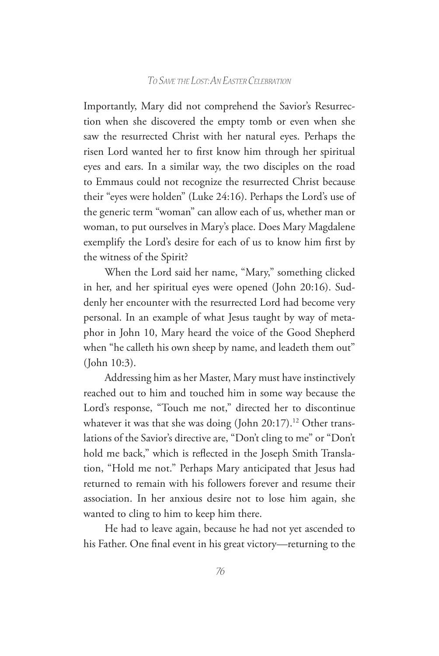Importantly, Mary did not comprehend the Savior's Resurrection when she discovered the empty tomb or even when she saw the resurrected Christ with her natural eyes. Perhaps the risen Lord wanted her to first know him through her spiritual eyes and ears. In a similar way, the two disciples on the road to Emmaus could not recognize the resurrected Christ because their "eyes were holden" (Luke 24:16). Perhaps the Lord's use of the generic term "woman" can allow each of us, whether man or woman, to put ourselves in Mary's place. Does Mary Magdalene exemplify the Lord's desire for each of us to know him first by the witness of the Spirit?

When the Lord said her name, "Mary," something clicked in her, and her spiritual eyes were opened (John 20:16). Suddenly her encounter with the resurrected Lord had become very personal. In an example of what Jesus taught by way of metaphor in John 10, Mary heard the voice of the Good Shepherd when "he calleth his own sheep by name, and leadeth them out" (John 10:3).

Addressing him as her Master, Mary must have instinctively reached out to him and touched him in some way because the Lord's response, "Touch me not," directed her to discontinue whatever it was that she was doing (John 20:17).<sup>12</sup> Other translations of the Savior's directive are, "Don't cling to me" or "Don't hold me back," which is reflected in the Joseph Smith Translation, "Hold me not." Perhaps Mary anticipated that Jesus had returned to remain with his followers forever and resume their association. In her anxious desire not to lose him again, she wanted to cling to him to keep him there.

He had to leave again, because he had not yet ascended to his Father. One final event in his great victory—returning to the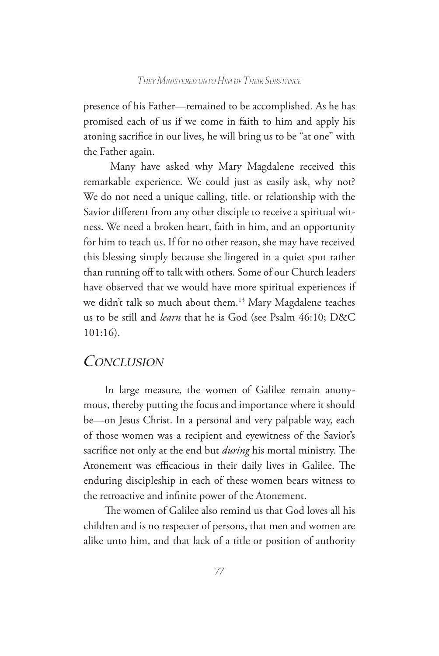presence of his Father—remained to be accomplished. As he has promised each of us if we come in faith to him and apply his atoning sacrifice in our lives, he will bring us to be "at one" with the Father again.

 Many have asked why Mary Magdalene received this remarkable experience. We could just as easily ask, why not? We do not need a unique calling, title, or relationship with the Savior different from any other disciple to receive a spiritual witness. We need a broken heart, faith in him, and an opportunity for him to teach us. If for no other reason, she may have received this blessing simply because she lingered in a quiet spot rather than running off to talk with others. Some of our Church leaders have observed that we would have more spiritual experiences if we didn't talk so much about them.<sup>13</sup> Mary Magdalene teaches us to be still and *learn* that he is God (see Psalm 46:10; D&C 101:16).

### *Conclusion*

In large measure, the women of Galilee remain anonymous, thereby putting the focus and importance where it should be—on Jesus Christ. In a personal and very palpable way, each of those women was a recipient and eyewitness of the Savior's sacrifice not only at the end but *during* his mortal ministry. The Atonement was efficacious in their daily lives in Galilee. The enduring discipleship in each of these women bears witness to the retroactive and infinite power of the Atonement.

The women of Galilee also remind us that God loves all his children and is no respecter of persons, that men and women are alike unto him, and that lack of a title or position of authority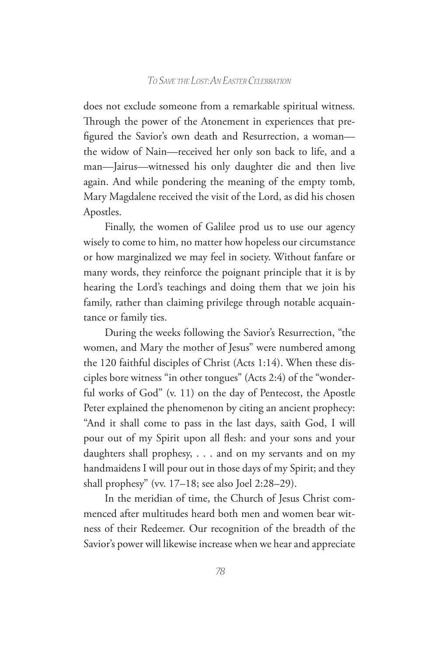does not exclude someone from a remarkable spiritual witness. Through the power of the Atonement in experiences that prefigured the Savior's own death and Resurrection, a woman the widow of Nain—received her only son back to life, and a man—Jairus—witnessed his only daughter die and then live again. And while pondering the meaning of the empty tomb, Mary Magdalene received the visit of the Lord, as did his chosen Apostles.

Finally, the women of Galilee prod us to use our agency wisely to come to him, no matter how hopeless our circumstance or how marginalized we may feel in society. Without fanfare or many words, they reinforce the poignant principle that it is by hearing the Lord's teachings and doing them that we join his family, rather than claiming privilege through notable acquaintance or family ties.

During the weeks following the Savior's Resurrection, "the women, and Mary the mother of Jesus" were numbered among the 120 faithful disciples of Christ (Acts 1:14). When these disciples bore witness "in other tongues" (Acts 2:4) of the "wonderful works of God" (v. 11) on the day of Pentecost, the Apostle Peter explained the phenomenon by citing an ancient prophecy: "And it shall come to pass in the last days, saith God, I will pour out of my Spirit upon all flesh: and your sons and your daughters shall prophesy, . . . and on my servants and on my handmaidens I will pour out in those days of my Spirit; and they shall prophesy" (vv. 17–18; see also Joel 2:28–29).

In the meridian of time, the Church of Jesus Christ commenced after multitudes heard both men and women bear witness of their Redeemer. Our recognition of the breadth of the Savior's power will likewise increase when we hear and appreciate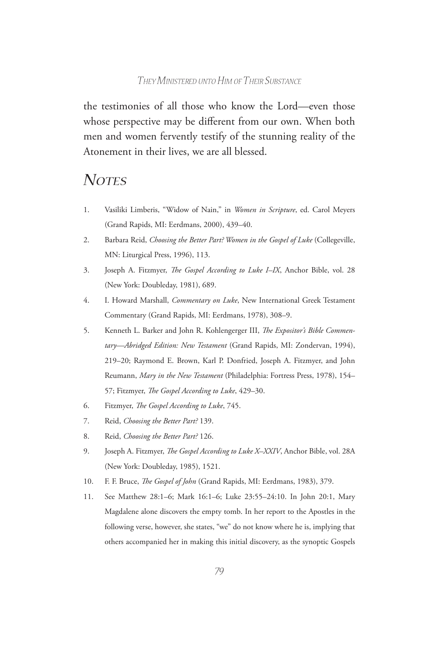the testimonies of all those who know the Lord—even those whose perspective may be different from our own. When both men and women fervently testify of the stunning reality of the Atonement in their lives, we are all blessed.

# *Notes*

- 1. Vasiliki Limberis, "Widow of Nain," in *Women in Scripture*, ed. Carol Meyers (Grand Rapids, MI: Eerdmans, 2000), 439–40.
- 2. Barbara Reid, *Choosing the Better Part? Women in the Gospel of Luke* (Collegeville, MN: Liturgical Press, 1996), 113.
- 3. Joseph A. Fitzmyer, *The Gospel According to Luke I–IX*, Anchor Bible, vol. 28 (New York: Doubleday, 1981), 689.
- 4. I. Howard Marshall, *Commentary on Luke*, New International Greek Testament Commentary (Grand Rapids, MI: Eerdmans, 1978), 308–9.
- 5. Kenneth L. Barker and John R. Kohlengerger III, *The Expositor's Bible Commentary—Abridged Edition: New Testament* (Grand Rapids, MI: Zondervan, 1994), 219–20; Raymond E. Brown, Karl P. Donfried, Joseph A. Fitzmyer, and John Reumann, *Mary in the New Testament* (Philadelphia: Fortress Press, 1978), 154– 57; Fitzmyer, *The Gospel According to Luke*, 429–30.
- 6. Fitzmyer, *The Gospel According to Luke*, 745.
- 7. Reid, *Choosing the Better Part?* 139.
- 8. Reid, *Choosing the Better Part?* 126.
- 9. Joseph A. Fitzmyer, *The Gospel According to Luke X–XXIV*, Anchor Bible, vol. 28A (New York: Doubleday, 1985), 1521.
- 10. F. F. Bruce, *The Gospel of John* (Grand Rapids, MI: Eerdmans, 1983), 379.
- 11. See Matthew 28:1–6; Mark 16:1–6; Luke 23:55–24:10. In John 20:1, Mary Magdalene alone discovers the empty tomb. In her report to the Apostles in the following verse, however, she states, "we" do not know where he is, implying that others accompanied her in making this initial discovery, as the synoptic Gospels